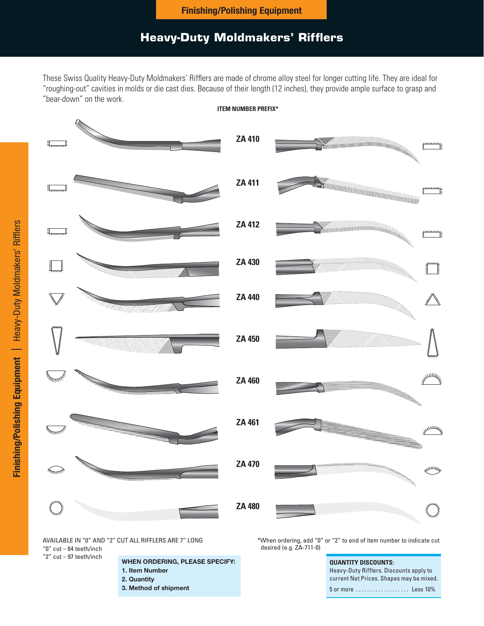### **Heavy-Duty Moldmakers' Rifflers**

These Swiss Quality Heavy-Duty Moldmakers' Rifflers are made of chrome alloy steel for longer cutting life. They are ideal for "roughing-out" cavities in molds or die cast dies. Because of their length (12 inches), they provide ample surface to grasp and "bear-down" on the work.



AVAILABLE IN "0" AND "2" CUT ALL RIFFLERS ARE 7" LONG "0" cut – 64 teeth/inch

"2" cut – 97 teeth/inch

### **WHEN ORDERING, PLEASE SPECIFY:**

- **1. Item Number**
- **2. Quantity**
- **3. Method of shipment**

\*When ordering, add "0" or "2" to end of item number to indicate cut desired (e.g. ZA-711-0)

> **QUANTITY DISCOUNTS:** Heavy-Duty Rifflers. Discounts apply to current Net Prices. Shapes may be mixed. 5 or more ................... Less 10%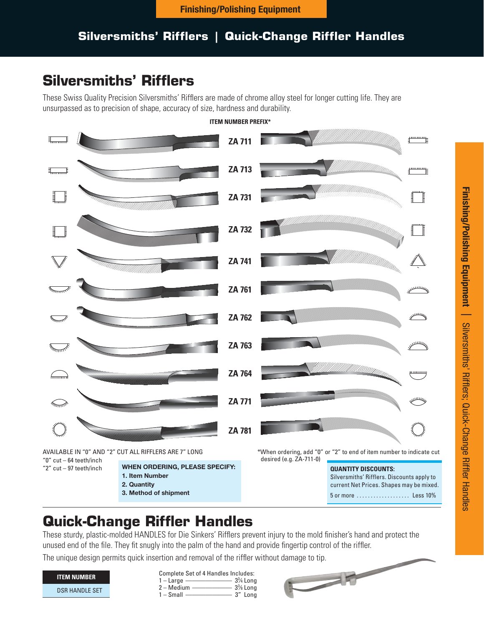## **Silversmiths' Rifflers | Quick-Change Riffler Handles**

# **Silversmiths' Rifflers**

These Swiss Quality Precision Silversmiths' Rifflers are made of chrome alloy steel for longer cutting life. They are unsurpassed as to precision of shape, accuracy of size, hardness and durability.



### **ITEM NUMBER PREFIX\***

These sturdy, plastic-molded HANDLES for Die Sinkers' Rifflers prevent injury to the mold finisher's hand and protect the unused end of the file. They fit snugly into the palm of the hand and provide fingertip control of the riffler.

| <b>ITEM NUMBER</b>    |
|-----------------------|
| <b>DSR HANDLE SET</b> |

| Complete Set of 4 Handles Includes: |            |
|-------------------------------------|------------|
| $1 -$ Large -                       | $3\%$ Long |
| $M$ odium                           | $236$ Lang |

Medium ———————— 3% Long<br>2 – Small ————————— 3″ Long ⁄8 Long  $1 -$ Small -